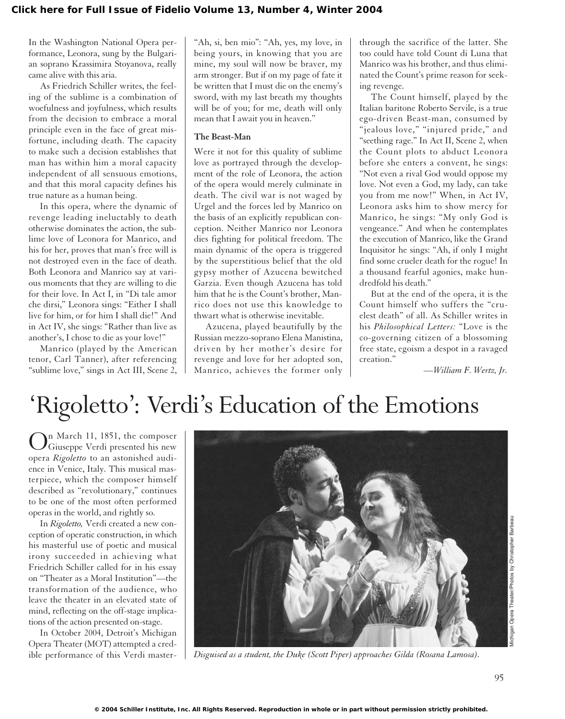In the Washington National Opera performance, Leonora, sung by the Bulgarian soprano Krassimira Stoyanova, really came alive with this aria.

As Friedrich Schiller writes, the feeling of the sublime is a combination of woefulness and joyfulness, which results from the decision to embrace a moral principle even in the face of great misfortune, including death. The capacity to make such a decision establishes that man has within him a moral capacity independent of all sensuous emotions, and that this moral capacity defines his true nature as a human being.

In this opera, where the dynamic of revenge leading ineluctably to death otherwise dominates the action, the sublime love of Leonora for Manrico, and his for her, proves that man's free will is not destroyed even in the face of death. Both Leonora and Manrico say at various moments that they are willing to die for their love. In Act I, in "Di tale amor che dirsi," Leonora sings: "Either I shall live for him, or for him I shall die!" And in Act IV, she sings: "Rather than live as another's, I chose to die as your love!"

Manrico (played by the American tenor, Carl Tanner), after referencing "sublime love," sings in Act III, Scene 2, "Ah, si, ben mio": "Ah, yes, my love, in being yours, in knowing that you are mine, my soul will now be braver, my arm stronger. But if on my page of fate it be written that I must die on the enemy's sword, with my last breath my thoughts will be of you; for me, death will only mean that I await you in heaven."

## **The Beast-Man**

Were it not for this quality of sublime love as portrayed through the development of the role of Leonora, the action of the opera would merely culminate in death. The civil war is not waged by Urgel and the forces led by Manrico on the basis of an explicitly republican conception. Neither Manrico nor Leonora dies fighting for political freedom. The main dynamic of the opera is triggered by the superstitious belief that the old gypsy mother of Azucena bewitched Garzia. Even though Azucena has told him that he is the Count's brother, Manrico does not use this knowledge to thwart what is otherwise inevitable.

Azucena, played beautifully by the Russian mezzo-soprano Elena Manistina, driven by her mother's desire for revenge and love for her adopted son, Manrico, achieves the former only through the sacrifice of the latter. She too could have told Count di Luna that Manrico was his brother, and thus eliminated the Count's prime reason for seeking revenge.

The Count himself, played by the Italian baritone Roberto Servile, is a true ego-driven Beast-man, consumed by "jealous love," "injured pride," and "seething rage." In Act II, Scene 2, when the Count plots to abduct Leonora before she enters a convent, he sings: "Not even a rival God would oppose my love. Not even a God, my lady, can take you from me now!" When, in Act IV, Leonora asks him to show mercy for Manrico, he sings: "My only God is vengeance." And when he contemplates the execution of Manrico, like the Grand Inquisitor he sings: "Ah, if only I might find some crueler death for the rogue! In a thousand fearful agonies, make hundredfold his death."

But at the end of the opera, it is the Count himself who suffers the "cruelest death" of all. As Schiller writes in his *Philosophical Letters:* "Love is the co-governing citizen of a blossoming free state, egoism a despot in a ravaged creation."

*—William F. Wertz, Jr.*

# 'Rigoletto': Verdi's Education of the Emotions

In March 11, 1851, the composer Giuseppe Verdi presented his new opera *Rigoletto* to an astonished audience in Venice, Italy. This musical masterpiece, which the composer himself described as "revolutionary," continues to be one of the most often performed operas in the world, and rightly so.

In *Rigoletto,* Verdi created a new conception of operatic construction, in which his masterful use of poetic and musical irony succeeded in achieving what Friedrich Schiller called for in his essay on "Theater as a Moral Institution"—the transformation of the audience, who leave the theater in an elevated state of mind, reflecting on the off-stage implications of the action presented on-stage.

In October 2004, Detroit's Michigan Opera Theater (MOT) attempted a credible performance of this Verdi master-



*Disguised as a student, the Duke (Scott Piper) approaches Gilda (Rosana Lamosa).*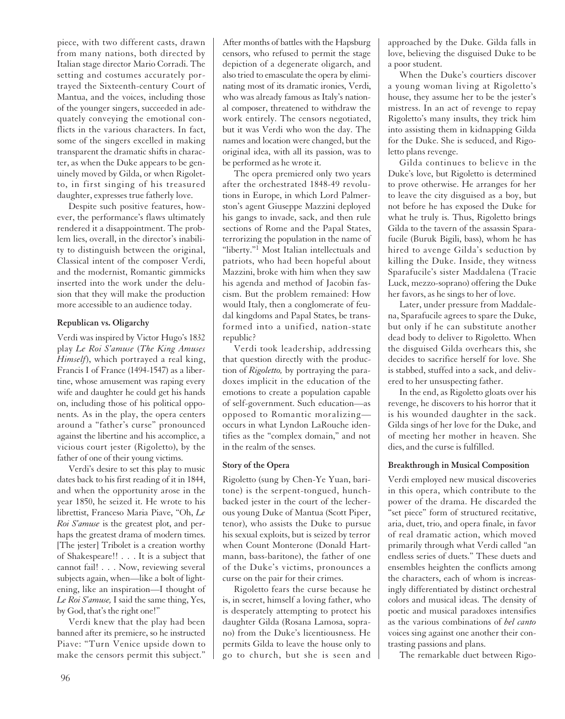piece, with two different casts, drawn from many nations, both directed by Italian stage director Mario Corradi. The setting and costumes accurately portrayed the Sixteenth-century Court of Mantua, and the voices, including those of the younger singers, succeeded in adequately conveying the emotional conflicts in the various characters. In fact, some of the singers excelled in making transparent the dramatic shifts in character, as when the Duke appears to be genuinely moved by Gilda, or when Rigoletto, in first singing of his treasured daughter, expresses true fatherly love.

Despite such positive features, however, the performance's flaws ultimately rendered it a disappointment. The problem lies, overall, in the director's inability to distinguish between the original, Classical intent of the composer Verdi, and the modernist, Romantic gimmicks inserted into the work under the delusion that they will make the production more accessible to an audience today.

## **Republican vs. Oligarchy**

Verdi was inspired by Victor Hugo's 1832 play *Le Roi S'amuse* (*The King Amuses Himself*), which portrayed a real king, Francis I of France (1494-1547) as a libertine, whose amusement was raping every wife and daughter he could get his hands on, including those of his political opponents. As in the play, the opera centers around a "father's curse" pronounced against the libertine and his accomplice, a vicious court jester (Rigoletto), by the father of one of their young victims.

Verdi's desire to set this play to music dates back to his first reading of it in 1844, and when the opportunity arose in the year 1850, he seized it. He wrote to his librettist, Franceso Maria Piave, "Oh, *Le Roi S'amuse* is the greatest plot, and perhaps the greatest drama of modern times. [The jester] Tribolet is a creation worthy of Shakespeare!! . . . It is a subject that cannot fail! . . . Now, reviewing several subjects again, when—like a bolt of lightening, like an inspiration—I thought of *Le Roi S'amuse,* I said the same thing, Yes, by God, that's the right one!"

Verdi knew that the play had been banned after its premiere, so he instructed Piave: "Turn Venice upside down to make the censors permit this subject."

After months of battles with the Hapsburg censors, who refused to permit the stage depiction of a degenerate oligarch, and also tried to emasculate the opera by eliminating most of its dramatic ironies, Verdi, who was already famous as Italy's national composer, threatened to withdraw the work entirely. The censors negotiated, but it was Verdi who won the day. The names and location were changed, but the original idea, with all its passion, was to be performed as he wrote it.

The opera premiered only two years after the orchestrated 1848-49 revolutions in Europe, in which Lord Palmerston's agent Giuseppe Mazzini deployed his gangs to invade, sack, and then rule sections of Rome and the Papal States, terrorizing the population in the name of "liberty."<sup>1</sup> Most Italian intellectuals and patriots, who had been hopeful about Mazzini, broke with him when they saw his agenda and method of Jacobin fascism. But the problem remained: How would Italy, then a conglomerate of feudal kingdoms and Papal States, be transformed into a unified, nation-state republic?

Verdi took leadership, addressing that question directly with the production of *Rigoletto,* by portraying the paradoxes implicit in the education of the emotions to create a population capable of self-government. Such education—as opposed to Romantic moralizing occurs in what Lyndon LaRouche identifies as the "complex domain," and not in the realm of the senses.

#### **Story of the Opera**

Rigoletto (sung by Chen-Ye Yuan, baritone) is the serpent-tongued, hunchbacked jester in the court of the lecherous young Duke of Mantua (Scott Piper, tenor), who assists the Duke to pursue his sexual exploits, but is seized by terror when Count Monterone (Donald Hartmann, bass-baritone), the father of one of the Duke's victims, pronounces a curse on the pair for their crimes.

Rigoletto fears the curse because he is, in secret, himself a loving father, who is desperately attempting to protect his daughter Gilda (Rosana Lamosa, soprano) from the Duke's licentiousness. He permits Gilda to leave the house only to go to church, but she is seen and approached by the Duke. Gilda falls in love, believing the disguised Duke to be a poor student.

When the Duke's courtiers discover a young woman living at Rigoletto's house, they assume her to be the jester's mistress. In an act of revenge to repay Rigoletto's many insults, they trick him into assisting them in kidnapping Gilda for the Duke. She is seduced, and Rigoletto plans revenge.

Gilda continues to believe in the Duke's love, but Rigoletto is determined to prove otherwise. He arranges for her to leave the city disguised as a boy, but not before he has exposed the Duke for what he truly is. Thus, Rigoletto brings Gilda to the tavern of the assassin Sparafucile (Buruk Bigili, bass), whom he has hired to avenge Gilda's seduction by killing the Duke. Inside, they witness Sparafucile's sister Maddalena (Tracie Luck, mezzo-soprano) offering the Duke her favors, as he sings to her of love.

Later, under pressure from Maddalena, Sparafucile agrees to spare the Duke, but only if he can substitute another dead body to deliver to Rigoletto. When the disguised Gilda overhears this, she decides to sacrifice herself for love. She is stabbed, stuffed into a sack, and delivered to her unsuspecting father.

In the end, as Rigoletto gloats over his revenge, he discovers to his horror that it is his wounded daughter in the sack. Gilda sings of her love for the Duke, and of meeting her mother in heaven. She dies, and the curse is fulfilled.

#### **Breakthrough in Musical Composition**

Verdi employed new musical discoveries in this opera, which contribute to the power of the drama. He discarded the "set piece" form of structured recitative, aria, duet, trio, and opera finale, in favor of real dramatic action, which moved primarily through what Verdi called "an endless series of duets." These duets and ensembles heighten the conflicts among the characters, each of whom is increasingly differentiated by distinct orchestral colors and musical ideas. The density of poetic and musical paradoxes intensifies as the various combinations of *bel canto* voices sing against one another their contrasting passions and plans.

The remarkable duet between Rigo-